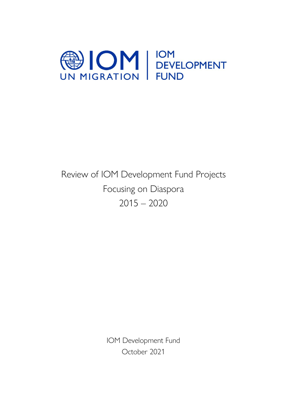

# Review of IOM Development Fund Projects Focusing on Diaspora 2015 – 2020

IOM Development Fund October 2021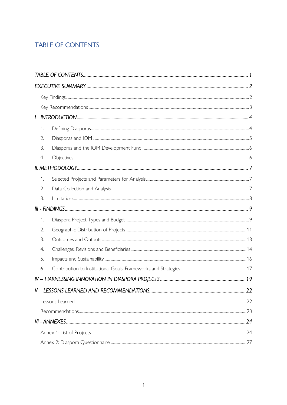## <span id="page-1-0"></span>**TABLE OF CONTENTS**

| 1. |  |  |  |  |  |
|----|--|--|--|--|--|
| 2. |  |  |  |  |  |
| 3. |  |  |  |  |  |
| 4. |  |  |  |  |  |
|    |  |  |  |  |  |
| 1. |  |  |  |  |  |
| 2. |  |  |  |  |  |
| 3. |  |  |  |  |  |
|    |  |  |  |  |  |
| 1. |  |  |  |  |  |
| 2. |  |  |  |  |  |
| 3. |  |  |  |  |  |
| 4. |  |  |  |  |  |
| 5. |  |  |  |  |  |
| 6. |  |  |  |  |  |
|    |  |  |  |  |  |
|    |  |  |  |  |  |
|    |  |  |  |  |  |
|    |  |  |  |  |  |
|    |  |  |  |  |  |
|    |  |  |  |  |  |
|    |  |  |  |  |  |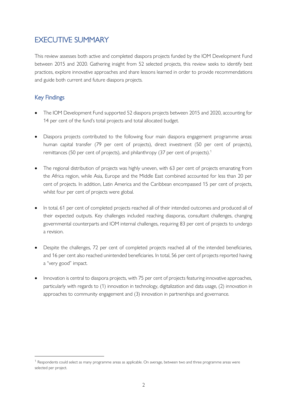## <span id="page-2-0"></span>EXECUTIVE SUMMARY

This review assesses both active and completed diaspora projects funded by the IOM Development Fund between 2015 and 2020. Gathering insight from 52 selected projects, this review seeks to identify best practices, explore innovative approaches and share lessons learned in order to provide recommendations and guide both current and future diaspora projects.

## <span id="page-2-1"></span>Key Findings

- The IOM Development Fund supported 52 diaspora projects between 2015 and 2020, accounting for 14 per cent of the fund's total projects and total allocated budget.
- Diaspora projects contributed to the following four main diaspora engagement programme areas: human capital transfer (79 per cent of projects), direct investment (50 per cent of projects), remittances (50 per cent of projects), and philanthropy (37 per cent of projects).<sup>1</sup>
- The regional distribution of projects was highly uneven, with 63 per cent of projects emanating from the Africa region, while Asia, Europe and the Middle East combined accounted for less than 20 per cent of projects. In addition, Latin America and the Caribbean encompassed 15 per cent of projects, whilst four per cent of projects were global.
- In total, 61 per cent of completed projects reached all of their intended outcomes and produced all of their expected outputs. Key challenges included reaching diasporas, consultant challenges, changing governmental counterparts and IOM internal challenges, requiring 83 per cent of projects to undergo a revision.
- Despite the challenges, 72 per cent of completed projects reached all of the intended beneficiaries, and 16 per cent also reached unintended beneficiaries. In total, 56 per cent of projects reported having a "very good" impact.
- <span id="page-2-2"></span>• Innovation is central to diaspora projects, with 75 per cent of projects featuring innovative approaches, particularly with regards to (1) innovation in technology, digitalization and data usage, (2) innovation in approaches to community engagement and (3) innovation in partnerships and governance.

 $1$  Respondents could select as many programme areas as applicable. On average, between two and three programme areas were selected per project.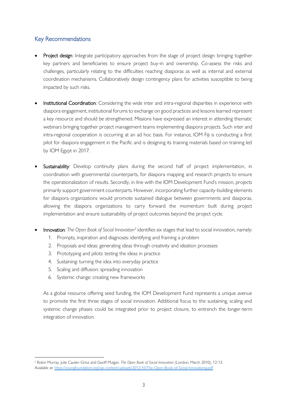## Key Recommendations

- Project design: Integrate participatory approaches from the stage of project design bringing together key partners and beneficiaries to ensure project buy-in and ownership. Co-assess the risks and challenges, particularly relating to the difficulties reaching diasporas as well as internal and external coordination mechanisms. Collaboratively design contingency plans for activities susceptible to being impacted by such risks.
- Institutional Coordination: Considering the wide inter and intra-regional disparities in experience with diaspora engagement, institutional forums to exchange on good practices and lessons learned represent a key resource and should be strengthened. Missions have expressed an interest in attending thematic webinars bringing together project management teams implementing diaspora projects. Such inter and intra-regional cooperation is occurring at an ad hoc basis. For instance, IOM Fiji is conducting a first pilot for diaspora engagement in the Pacific and is designing its training materials based on training led by IOM Egypt in 2017.
- Sustainability: Develop continuity plans during the second half of project implementation, in coordination with governmental counterparts, for diaspora mapping and research projects to ensure the operationalization of results. Secondly, in line with the IOM Development Fund's mission, projects primarily support government counterparts. However, incorporating further capacity-building elements for diaspora organizations would promote sustained dialogue between governments and diasporas, allowing the diaspora organizations to carry forward the momentum built during project implementation and ensure sustainability of project outcomes beyond the project cycle.
- Innovation: *The Open Book of Social Innovation*<sup>2</sup> identifies six stages that lead to social innovation, namely:
	- 1. Prompts, inspiration and diagnoses: identifying and framing a problem
	- 2. Proposals and ideas: generating ideas through creativity and ideation processes
	- 3. Prototyping and pilots: testing the ideas in practice
	- 4. Sustaining: turning the idea into everyday practice
	- 5. Scaling and diffusion: spreading innovation
	- 6. Systemic change: creating new frameworks

As a global resource offering seed funding, the IOM Development Fund represents a unique avenue to promote the first three stages of social innovation. Additional focus to the sustaining, scaling and systemic change phases could be integrated prior to project closure, to entrench the longer-term integration of innovation.

<sup>2</sup> Robin Murray, Julie Caulier-Grice and Geoff Mulgan. *The Open Book of Social Innovation* (London, March 2010), 12-13. Available at:<https://youngfoundation.org/wp-content/uploads/2012/10/The-Open-Book-of-Social-Innovationg.pdf>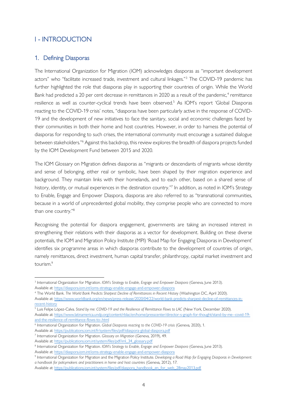## <span id="page-4-0"></span>I - INTRODUCTION

## <span id="page-4-1"></span>1. Defining Diasporas

The International Organization for Migration (IOM) acknowledges diasporas as "important development actors" who "facilitate increased trade, investment and cultural linkages."<sup>3</sup> The COVID-19 pandemic has further highlighted the role that diasporas play in supporting their countries of origin. While the World Bank had predicted a 20 per cent decrease in remittances in 2020 as a result of the pandemic,<sup>4</sup> remittance resilience as well as counter-cyclical trends have been observed.<sup>5</sup> As IOM's report 'Global Diasporas reacting to the COVID-19 crisis' notes, "diasporas have been particularly active in the response of COVID-19 and the development of new initiatives to face the sanitary, social and economic challenges faced by their communities in both their home and host countries. However, in order to harness the potential of diasporas for responding to such crises, the international community must encourage a sustained dialogue between stakeholders."<sup>6</sup> Against this backdrop, this review explores the breadth of diaspora projects funded by the IOM Development Fund between 2015 and 2020.

The IOM Glossary on Migration defines diasporas as "migrants or descendants of migrants whose identity and sense of belonging, either real or symbolic, have been shaped by their migration experience and background. They maintain links with their homelands, and to each other, based on a shared sense of history, identity, or mutual experiences in the destination country."<sup>7</sup> In addition, as noted in IOM's Strategy to Enable, Engage and Empower Diaspora, diasporas are also referred to as "transnational communities, because in a world of unprecedented global mobility, they comprise people who are connected to more than one country."<sup>8</sup>

Recognising the potential for diaspora engagement, governments are taking an increased interest in strengthening their relations with their diasporas as a vector for development. Building on these diverse potentials, the IOM and Migration Policy Institute (MPI) 'Road Map for Engaging Diasporas in Development' identifies six programme areas in which diasporas contribute to the development of countries of origin, namely remittances, direct investment, human capital transfer, philanthropy, capital market investment and tourism.9

<sup>3</sup> International Organization for Migration. *IOM's Strategy to Enable, Engage and Empower Diaspora* (Geneva, June 2013). Available at:<https://diaspora.iom.int/ioms-strategy-enable-engage-and-empower-diaspora>

<sup>4</sup> The World Bank. *The World Bank Predicts Sharpest Decline of Remittances in Recent History* (Washington DC, April 2020).

Available at: [https://www.worldbank.org/en/news/press-release/2020/04/22/world-bank-predicts-sharpest-decline-of-remittances-in](https://www.worldbank.org/en/news/press-release/2020/04/22/world-bank-predicts-sharpest-decline-of-remittances-in-recent-history)[recent-history](https://www.worldbank.org/en/news/press-release/2020/04/22/world-bank-predicts-sharpest-decline-of-remittances-in-recent-history)

<sup>5</sup> Luis Felipe López-Calva. *Stand by me: COVID-19 and the Resilience of Remittance Flows to LAC* (New York, December 2020). Available at: [https://www.latinamerica.undp.org/content/rblac/en/home/presscenter/director-s-graph-for-thought/stand-by-me--covid-19](https://www.latinamerica.undp.org/content/rblac/en/home/presscenter/director-s-graph-for-thought/stand-by-me--covid-19-and-the-resilience-of-remittance-flows-to-.html) [and-the-resilience-of-remittance-flows-to-.html](https://www.latinamerica.undp.org/content/rblac/en/home/presscenter/director-s-graph-for-thought/stand-by-me--covid-19-and-the-resilience-of-remittance-flows-to-.html)

<sup>6</sup> International Organization for Migration. *Global Diasporas reacting to the COVID-19 crisis* (Geneva, 2020), 1.

Available at:<https://publications.iom.int/fr/system/files/pdf/idiaspora-global-diaspora.pdf> <sup>7</sup> International Organization for Migration. *Glossary on Migration* (Geneva, 2019), 49.

Available at: [https://publications.iom.int/system/files/pdf/iml\\_34\\_glossary.pdf](https://publications.iom.int/system/files/pdf/iml_34_glossary.pdf)

<sup>8</sup> International Organization for Migration. *IOM's Strategy to Enable, Engage and Empower Diaspora* (Geneva, June 2013). Available at:<https://diaspora.iom.int/ioms-strategy-enable-engage-and-empower-diaspora>

<sup>9</sup> International Organization for Migration and the Migration Policy Institute. *Developing a Road Map for Engaging Diasporas in Development: a handbook for policymakers and practitioners in home and host countries* (Geneva, 2012), 17.

Available at: [https://publications.iom.int/system/files/pdf/diaspora\\_handbook\\_en\\_for\\_web\\_28may2013.pdf](https://publications.iom.int/system/files/pdf/diaspora_handbook_en_for_web_28may2013.pdf)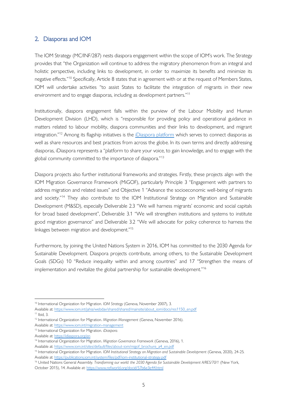## <span id="page-5-0"></span>2. Diasporas and IOM

The IOM Strategy (MC/INF/287) nests diaspora engagement within the scope of IOM's work. The Strategy provides that "the Organization will continue to address the migratory phenomenon from an integral and holistic perspective, including links to development, in order to maximize its benefits and minimize its negative effects."<sup>10</sup> Specifically, Article 8 states that in agreement with or at the request of Members States, IOM will undertake activities "to assist States to facilitate the integration of migrants in their new environment and to engage diasporas, including as development partners."<sup>11</sup>

Institutionally, diaspora engagement falls within the purview of the Labour Mobility and Human Development Division (LHD), which is "responsible for providing policy and operational guidance in matters related to labour mobility, diaspora communities and their links to development, and migrant integration."<sup>12</sup> Among its flagship initiatives is the [iDiaspora platform](https://idiaspora.org/en) which serves to connect diasporas as well as share resources and best practices from across the globe. In its own terms and directly addressing diasporas, iDiaspora represents a "platform to share your voice, to gain knowledge, and to engage with the global community committed to the importance of diaspora."<sup>13</sup>

Diaspora projects also further institutional frameworks and strategies. Firstly, these projects align with the IOM Migration Governance Framework (MiGOF), particularly Principle 3 "Engagement with partners to address migration and related issues" and Objective 1 "Advance the socioeconomic well-being of migrants and society."<sup>14</sup> They also contribute to the IOM Institutional Strategy on Migration and Sustainable Development (M&SD), especially Deliverable 2.3 "We will harness migrants' economic and social capitals for broad based development", Deliverable 3.1 "We will strengthen institutions and systems to institute good migration governance" and Deliverable 3.2 "We will advocate for policy coherence to harness the linkages between migration and development." 15

Furthermore, by joining the United Nations System in 2016, IOM has committed to the 2030 Agenda for Sustainable Development. Diaspora projects contribute, among others, to the Sustainable Development Goals (SDGs) 10 "Reduce inequality within and among countries" and 17 "Strengthen the means of implementation and revitalize the global partnership for sustainable development."<sup>16</sup>

<sup>10</sup> International Organization for Migration. *IOM Strategy* (Geneva, November 2007), 3.

Available at: [https://www.iom.int/jahia/webdav/shared/shared/mainsite/about\\_iom/docs/res1150\\_en.pdf](https://www.iom.int/jahia/webdav/shared/shared/mainsite/about_iom/docs/res1150_en.pdf)  $11$  Ibid, 3.

<sup>12</sup> International Organization for Migration. *Migration Management* (Geneva, November 2016).

Available at:<https://www.iom.int/migration-management> <sup>13</sup> International Organization for Migration. *iDiaspora.*

Available at:<https://idiaspora.org/en>

<sup>14</sup> International Organization for Migration. *Migration Governance Framework* (Geneva, 2016), 1.

Available at: [https://www.iom.int/sites/default/files/about-iom/migof\\_brochure\\_a4\\_en.pdf](https://www.iom.int/sites/default/files/about-iom/migof_brochure_a4_en.pdf)

<sup>&</sup>lt;sup>15</sup> International Organization for Migration. *IOM Institutional Strategy on Migration and Sustainable Development* (Geneva, 2020), 24-25. Available at:<https://publications.iom.int/system/files/pdf/iom-institutional-strategy.pdf>

<sup>16</sup> United Nations General Assembly. *Transforming our world: the 2030 Agenda for Sustainable Development A/RES/70/1* (New York, October 2015), 14. Available at[: https://www.refworld.org/docid/57b6e3e44.html](https://www.refworld.org/docid/57b6e3e44.html)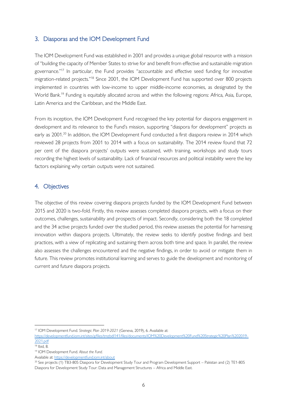## <span id="page-6-0"></span>3. Diasporas and the IOM Development Fund

The IOM Development Fund was established in 2001 and provides a unique global resource with a mission of "building the capacity of Member States to strive for and benefit from effective and sustainable migration governance."<sup>17</sup> In particular, the Fund provides "accountable and effective seed funding for innovative migration-related projects."<sup>18</sup> Since 2001, the IOM Development Fund has supported over 800 projects implemented in countries with low-income to upper middle-income economies, as designated by the World Bank.<sup>19</sup> Funding is equitably allocated across and within the following regions: Africa, Asia, Europe, Latin America and the Caribbean, and the Middle East.

From its inception, the IOM Development Fund recognised the key potential for diaspora engagement in development and its relevance to the Fund's mission, supporting "diaspora for development" projects as early as 2001.<sup>20</sup> In addition, the IOM Development Fund conducted a first diaspora review in 2014 which reviewed 28 projects from 2001 to 2014 with a focus on sustainability. The 2014 review found that 72 per cent of the diaspora projects' outputs were sustained, with training, workshops and study tours recording the highest levels of sustainability. Lack of financial resources and political instability were the key factors explaining why certain outputs were not sustained.

## <span id="page-6-1"></span>4. Objectives

The objective of this review covering diaspora projects funded by the IOM Development Fund between 2015 and 2020 is two-fold. Firstly, this review assesses completed diaspora projects, with a focus on their outcomes, challenges, sustainability and prospects of impact. Secondly, considering both the 18 completed and the 34 active projects funded over the studied period, this review assesses the potential for harnessing innovation within diaspora projects. Ultimately, the review seeks to identify positive findings and best practices, with a view of replicating and sustaining them across both time and space. In parallel, the review also assesses the challenges encountered and the negative findings, in order to avoid or mitigate them in future. This review promotes institutional learning and serves to guide the development and monitoring of current and future diaspora projects.

<sup>17</sup> IOM Development Fund. *Strategic Plan 2019-2021* (Geneva, 2019), 6. Available at:

[https://developmentfund.iom.int/sites/g/files/tmzbdl141/files/documents/IOM%20Development%20Fund%20Strategic%20Plan%202019-](https://developmentfund.iom.int/sites/g/files/tmzbdl141/files/documents/IOM%20Development%20Fund%20Strategic%20Plan%202019-2021.pdf) [2021.pdf](https://developmentfund.iom.int/sites/g/files/tmzbdl141/files/documents/IOM%20Development%20Fund%20Strategic%20Plan%202019-2021.pdf)

 $\overline{18}$  Ibid, 8.

<sup>19</sup> IOM Development Fund. *About the Fund.* 

Available at:<https://developmentfund.iom.int/about>

<sup>&</sup>lt;sup>20</sup> See projects (1) TB3-805 Diaspora for Development Study Tour and Program Development Support – Pakistan and (2) TE1-805 Diaspora for Development Study Tour: Data and Management Structures – Africa and Middle East.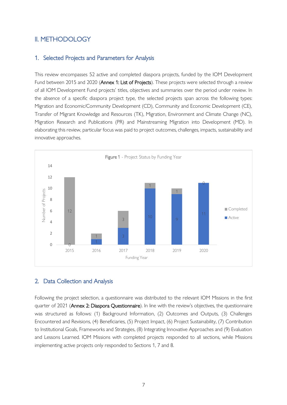## <span id="page-7-0"></span>II. METHODOLOGY

#### <span id="page-7-1"></span>1. Selected Projects and Parameters for Analysis

This review encompasses 52 active and completed diaspora projects, funded by the IOM Development Fund between 2015 and 2020 (Annex 1: List of Projects). These projects were selected through a review of all IOM Development Fund projects' titles, objectives and summaries over the period under review. In the absence of a specific diaspora project type, the selected projects span across the following types: Migration and Economic/Community Development (CD), Community and Economic Development (CE), Transfer of Migrant Knowledge and Resources (TK), Migration, Environment and Climate Change (NC), Migration Research and Publications (PR) and Mainstreaming Migration into Development (MD). In elaborating this review, particular focus was paid to project outcomes, challenges, impacts, sustainability and innovative approaches.



## <span id="page-7-2"></span>2. Data Collection and Analysis

Following the project selection, a questionnaire was distributed to the relevant IOM Missions in the first quarter of 2021 (Annex 2: Diaspora Questionnaire). In line with the review's objectives, the questionnaire was structured as follows: (1) Background Information, (2) Outcomes and Outputs, (3) Challenges Encountered and Revisions, (4) Beneficiaries, (5) Project Impact, (6) Project Sustainability, (7) Contribution to Institutional Goals, Frameworks and Strategies, (8) Integrating Innovative Approaches and (9) Evaluation and Lessons Learned. IOM Missions with completed projects responded to all sections, while Missions implementing active projects only responded to Sections 1, 7 and 8.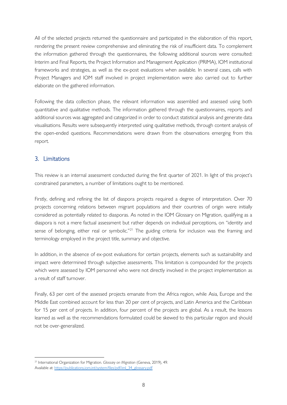All of the selected projects returned the questionnaire and participated in the elaboration of this report, rendering the present review comprehensive and eliminating the risk of insufficient data. To complement the information gathered through the questionnaires, the following additional sources were consulted: Interim and Final Reports, the Project Information and Management Application (PRIMA), IOM institutional frameworks and strategies, as well as the ex-post evaluations when available. In several cases, calls with Project Managers and IOM staff involved in project implementation were also carried out to further elaborate on the gathered information.

Following the data collection phase, the relevant information was assembled and assessed using both quantitative and qualitative methods. The information gathered through the questionnaires, reports and additional sources was aggregated and categorized in order to conduct statistical analysis and generate data visualisations. Results were subsequently interpreted using qualitative methods, through content analysis of the open-ended questions. Recommendations were drawn from the observations emerging from this report.

## <span id="page-8-0"></span>3. Limitations

This review is an internal assessment conducted during the first quarter of 2021. In light of this project's constrained parameters, a number of limitations ought to be mentioned.

Firstly, defining and refining the list of diaspora projects required a degree of interpretation. Over 70 projects concerning relations between migrant populations and their countries of origin were initially considered as potentially related to diasporas. As noted in the IOM Glossary on Migration, qualifying as a diaspora is not a mere factual assessment but rather depends on individual perceptions, on "identity and sense of belonging, either real or symbolic."<sup>21</sup> The guiding criteria for inclusion was the framing and terminology employed in the project title, summary and objective.

In addition, in the absence of ex-post evaluations for certain projects, elements such as sustainability and impact were determined through subjective assessments. This limitation is compounded for the projects which were assessed by IOM personnel who were not directly involved in the project implementation as a result of staff turnover.

Finally, 63 per cent of the assessed projects emanate from the Africa region, while Asia, Europe and the Middle East combined account for less than 20 per cent of projects, and Latin America and the Caribbean for 15 per cent of projects. In addition, four percent of the projects are global. As a result, the lessons learned as well as the recommendations formulated could be skewed to this particular region and should not be over-generalized.

<sup>21</sup> International Organization for Migration. *Glossary on Migration* (Geneva, 2019), 49. Available at: [https://publications.iom.int/system/files/pdf/iml\\_34\\_glossary.pdf](https://publications.iom.int/system/files/pdf/iml_34_glossary.pdf)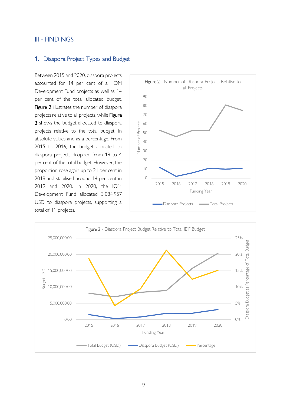## <span id="page-9-0"></span>III - FINDINGS

### <span id="page-9-1"></span>1. Diaspora Project Types and Budget

Between 2015 and 2020, diaspora projects accounted for 14 per cent of all IOM Development Fund projects as well as 14 per cent of the total allocated budget. Figure 2 illustrates the number of diaspora projects relative to all projects, while Figure 3 shows the budget allocated to diaspora projects relative to the total budget, in absolute values and as a percentage. From 2015 to 2016, the budget allocated to diaspora projects dropped from 19 to 4 per cent of the total budget. However, the proportion rose again up to 21 per cent in 2018 and stabilised around 14 per cent in 2019 and 2020. In 2020, the IOM Development Fund allocated 3 084 957 USD to diaspora projects, supporting a total of 11 projects.



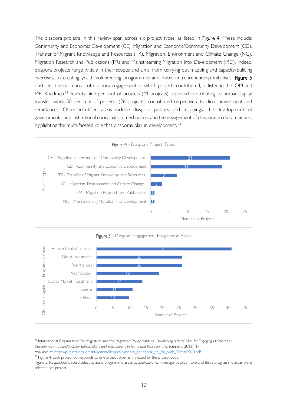The diaspora projects in this review span across six project types, as listed in Figure 4. These include: Community and Economic Development (CE), Migration and Economic/Community Development (CD), Transfer of Migrant Knowledge and Resources (TK), Migration, Environment and Climate Change (NC), Migration Research and Publications (PR) and Mainstreaming Migration into Development (MD). Indeed, diaspora projects range widely in their scopes and aims, from carrying out mapping and capacity-building exercises, to creating youth volunteering programmes and micro-entrepreneurship initiatives. Figure 5 illustrates the main areas of diaspora engagement to which projects contributed, as listed in the IOM and MPI Roadmap.<sup>22</sup> Seventy-nine per cent of projects (41 projects) reported contributing to human capital transfer, while 50 per cent of projects (26 projects) contributed respectively to direct investment and remittances. Other identified areas include diaspora policies and mappings, the development of governmental and institutional coordination mechanisms and the engagement of diasporas in climate action, highlighting the multi-faceted role that diasporas play in development.<sup>23</sup>



<sup>22</sup> International Organization for Migration and the Migration Policy Institute. *Developing a Road Map for Engaging Diasporas in Development : a handbook for policymakers and practitioners in home and host countries (Geneva, 2012), 17.* Available at: [https://publications.iom.int/system/files/pdf/diaspora\\_handbook\\_en\\_for\\_web\\_28may2013.pdf](https://publications.iom.int/system/files/pdf/diaspora_handbook_en_for_web_28may2013.pdf)

<sup>&</sup>lt;sup>23</sup> Figure 4: Each project corresponds to one project type, as indicated by the project code.

Figure 5: Respondents could select as many programme areas as applicable. On average, between two and three programme areas were selected per project.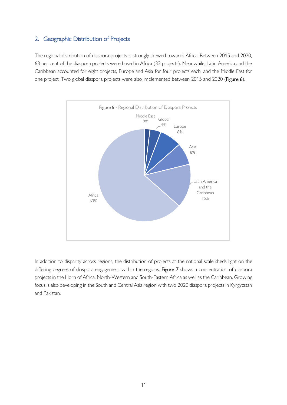## <span id="page-11-0"></span>2. Geographic Distribution of Projects

The regional distribution of diaspora projects is strongly skewed towards Africa. Between 2015 and 2020, 63 per cent of the diaspora projects were based in Africa (33 projects). Meanwhile, Latin America and the Caribbean accounted for eight projects, Europe and Asia for four projects each, and the Middle East for one project. Two global diaspora projects were also implemented between 2015 and 2020 (Figure 6).



In addition to disparity across regions, the distribution of projects at the national scale sheds light on the differing degrees of diaspora engagement within the regions. Figure 7 shows a concentration of diaspora projects in the Horn of Africa, North-Western and South-Eastern Africa as well as the Caribbean. Growing focus is also developing in the South and Central Asia region with two 2020 diaspora projects in Kyrgyzstan and Pakistan.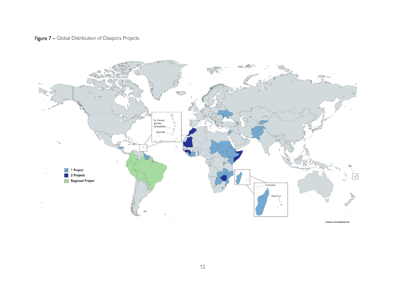## Figure 7 – Global Distribution of Diaspora Projects

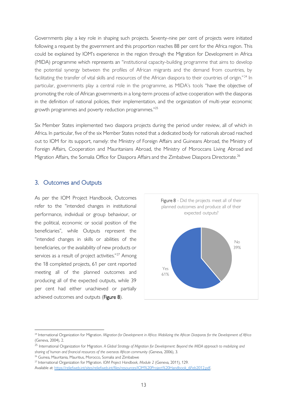Governments play a key role in shaping such projects. Seventy-nine per cent of projects were initiated following a request by the government and this proportion reaches 88 per cent for the Africa region. This could be explained by IOM's experience in the region through the Migration for Development in Africa (MIDA) programme which represents an "institutional capacity-building programme that aims to develop the potential synergy between the profiles of African migrants and the demand from countries, by facilitating the transfer of vital skills and resources of the African diaspora to their countries of origin."<sup>24</sup> In particular, governments play a central role in the programme, as MIDA's tools "have the objective of promoting the role of African governments in a long-term process of active cooperation with the diasporas in the definition of national policies, their implementation, and the organization of multi-year economic growth programmes and poverty reduction programmes." 25

Six Member States implemented two diaspora projects during the period under review, all of which in Africa. In particular, five of the six Member States noted that a dedicated body for nationals abroad reached out to IOM for its support, namely: the Ministry of Foreign Affairs and Guineans Abroad, the Ministry of Foreign Affairs, Cooperation and Mauritanians Abroad, the Ministry of Moroccans Living Abroad and Migration Affairs, the Somalia Office for Diaspora Affairs and the Zimbabwe Diaspora Directorate.<sup>26</sup>

#### <span id="page-13-0"></span>3. Outcomes and Outputs

As per the IOM Project Handbook, Outcomes refer to the "intended changes in institutional performance, individual or group behaviour, or the political, economic or social position of the beneficiaries", while Outputs represent the "intended changes in skills or abilities of the beneficiaries, or the availability of new products or services as a result of project activities."<sup>27</sup> Among the 18 completed projects, 61 per cent reported meeting all of the planned outcomes and producing all of the expected outputs, while 39 per cent had either unachieved or partially achieved outcomes and outputs (Figure 8).



<sup>24</sup> International Organization for Migration. *Migration for Development in Africa: Mobilizing the African Diasporas for the Development of Africa*  (Geneva, 2004), 2.

<sup>25</sup> International Organization for Migration. *A Global Strategy of Migration for Development: Beyond the MIDA approach to mobilizing and sharing of human and financial resources of the overseas African community* (Geneva, 2006), 3.

<sup>&</sup>lt;sup>26</sup> Guinea, Mauritania, Mauritius, Morocco, Somalia and Zimbabwe

<sup>27</sup> International Organization for Migration. *IOM Project Handbook, Module 2* (Geneva, 2011), 129.

Available at: [https://reliefweb.int/sites/reliefweb.int/files/resources/IOM%20Project%20Handbook\\_6Feb2012.pdf.](https://reliefweb.int/sites/reliefweb.int/files/resources/IOM%20Project%20Handbook_6Feb2012.pdf)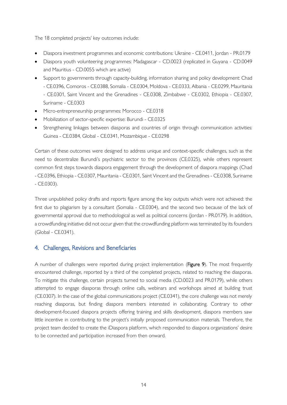The 18 completed projects' key outcomes include:

- Diaspora investment programmes and economic contributions: Ukraine CE.0411, Jordan PR.0179
- Diaspora youth volunteering programmes: Madagascar CD.0023 (replicated in Guyana CD.0049 and Mauritius - CD.0055 which are active)
- Support to governments through capacity-building, information sharing and policy development: Chad - CE.0396, Comoros - CE.0388, Somalia - CE.0304, Moldova - CE.0333, Albania - CE.0299, Mauritania - CE.0301, Saint Vincent and the Grenadines - CE.0308, Zimbabwe - CE.0302, Ethiopia - CE.0307, Suriname - CE.0303
- Micro-entrepreneurship programmes: Morocco CE.0318
- Mobilization of sector-specific expertise: Burundi CE.0325
- Strengthening linkages between diasporas and countries of origin through communication activities: Guinea - CE.0384, Global - CE.0341, Mozambique - CE.0298

Certain of these outcomes were designed to address unique and context-specific challenges, such as the need to decentralize Burundi's psychiatric sector to the provinces (CE.0325), while others represent common first steps towards diaspora engagement through the development of diaspora mappings (Chad - CE.0396, Ethiopia - CE.0307, Mauritania - CE.0301, Saint Vincent and the Grenadines - CE.0308, Suriname - CE.0303).

Three unpublished policy drafts and reports figure among the key outputs which were not achieved: the first due to plagiarism by a consultant (Somalia - CE.0304), and the second two because of the lack of governmental approval due to methodological as well as political concerns (Jordan - PR.0179). In addition, a crowdfunding initiative did not occur given that the crowdfunding platform was terminated by its founders (Global - CE.0341).

#### <span id="page-14-0"></span>4. Challenges, Revisions and Beneficiaries

A number of challenges were reported during project implementation (Figure 9). The most frequently encountered challenge, reported by a third of the completed projects, related to reaching the diasporas. To mitigate this challenge, certain projects turned to social media (CD.0023 and PR.0179), while others attempted to engage diasporas through online calls, webinars and workshops aimed at building trust (CE.0307). In the case of the global communications project (CE.0341), the core challenge was not merely reaching diasporas, but finding diaspora members interested in collaborating. Contrary to other development-focused diaspora projects offering training and skills development, diaspora members saw little incentive in contributing to the project's initially proposed communication materials. Therefore, the project team decided to create the iDiaspora platform, which responded to diaspora organizations' desire to be connected and participation increased from then onward.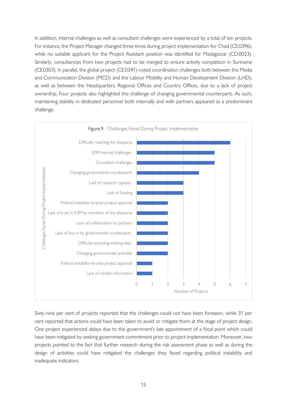In addition, internal challenges as well as consultant challenges were experienced by a total of ten projects. For instance, the Project Manager changed three times during project implementation for Chad (CE.0396), while no suitable applicant for the Project Assistant position was identified for Madagascar (CD.0023). Similarly, consultancies from two projects had to be merged to ensure activity completion in Suriname (CE.0303). In parallel, the global project (CE.0341) noted coordination challenges both between the Media and Communication Division (MCD) and the Labour Mobility and Human Development Division (LHD), as well as between the Headquarters, Regional Offices and Country Offices, due to a lack of project ownership. Four projects also highlighted the challenge of changing governmental counterparts. As such, maintaining stability in dedicated personnel both internally and with partners appeared as a predominant challenge.



Sixty-nine per cent of projects reported that the challenges could not have been foreseen, while 31 per cent reported that actions could have been taken to avoid or mitigate them at the stage of project design. One project experienced delays due to the government's late appointment of a focal point which could have been mitigated by seeking government commitment prior to project implementation. Moreover, two projects pointed to the fact that further research during the risk assessment phase as well as during the design of activities could have mitigated the challenges they faced regarding political instability and inadequate indicators.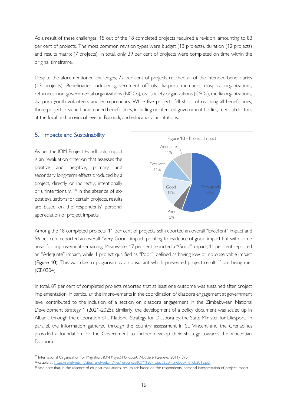As a result of these challenges, 15 out of the 18 completed projects required a revision, amounting to 83 per cent of projects. The most common revision types were budget (13 projects), duration (12 projects) and results matrix (7 projects). In total, only 39 per cent of projects were completed on time within the original timeframe.

Despite the aforementioned challenges, 72 per cent of projects reached all of the intended beneficiaries (13 projects). Beneficiaries included government officials, diaspora members, diaspora organizations, returnees, non-governmental organizations (NGOs), civil society organizations (CSOs), media organizations, diaspora youth volunteers and entrepreneurs. While five projects fell short of reaching all beneficiaries, three projects reached unintended beneficiaries, including unintended government bodies, medical doctors at the local and provincial level in Burundi, and educational institutions.

#### <span id="page-16-0"></span>5. Impacts and Sustainability

As per the IOM Project Handbook, impact is an "evaluation criterion that assesses the positive and negative, primary and secondary long-term effects produced by a project, directly or indirectly, intentionally or unintentionally."<sup>28</sup> In the absence of expost evaluations for certain projects, results are based on the respondents' personal appreciation of project impacts.



Among the 18 completed projects, 11 per cent of projects self-reported an overall "Excellent" impact and 56 per cent reported an overall "Very Good" impact, pointing to evidence of good impact but with some areas for improvement remaining. Meanwhile, 17 per cent reported a "Good" impact, 11 per cent reported an "Adequate" impact, while 1 project qualified as "Poor", defined as having low or no observable impact (Figure 10). This was due to plagiarism by a consultant which prevented project results from being met (CE.0304).

In total, 89 per cent of completed projects reported that at least one outcome was sustained after project implementation. In particular, the improvements in the coordination of diaspora engagement at government level contributed to the inclusion of a section on diaspora engagement in the Zimbabwean National Development Strategy 1 (2021-2025). Similarly, the development of a policy document was scaled up in Albania through the elaboration of a National Strategy for Diaspora by the State Minister for Diaspora. In parallel, the information gathered through the country assessment in St. Vincent and the Grenadines provided a foundation for the Government to further develop their strategy towards the Vincentian Diaspora.

<sup>28</sup> International Organization for Migration. *IOM Project Handbook, Module 6* (Geneva, 2011), 375.

Available at: [https://reliefweb.int/sites/reliefweb.int/files/resources/IOM%20Project%20Handbook\\_6Feb2012.pdf.](https://reliefweb.int/sites/reliefweb.int/files/resources/IOM%20Project%20Handbook_6Feb2012.pdf)

Please note that, in the absence of ex-post evaluations, results are based on the respondents' personal interpretation of project impact.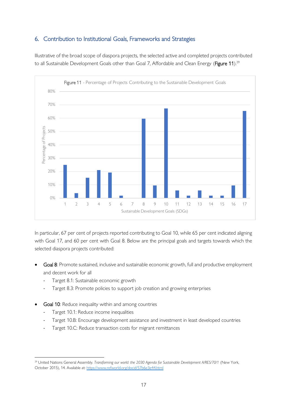## <span id="page-17-0"></span>6. Contribution to Institutional Goals, Frameworks and Strategies

Illustrative of the broad scope of diaspora projects, the selected active and completed projects contributed to all Sustainable Development Goals other than Goal 7, Affordable and Clean Energy (**Figure 11**).<sup>29</sup>



In particular, 67 per cent of projects reported contributing to Goal 10, while 65 per cent indicated aligning with Goal 17, and 60 per cent with Goal 8. Below are the principal goals and targets towards which the selected diaspora projects contributed:

- Goal 8: Promote sustained, inclusive and sustainable economic growth, full and productive employment and decent work for all
	- Target 8.1: Sustainable economic growth
	- Target 8.3: Promote policies to support job creation and growing enterprises
- Goal 10: Reduce inequality within and among countries
	- Target 10.1: Reduce income inequalities
	- Target 10.B: Encourage development assistance and investment in least developed countries
	- Target 10.C: Reduce transaction costs for migrant remittances

<sup>&</sup>lt;sup>29</sup> United Nations General Assembly. *Transforming our world: the 2030 Agenda for Sustainable Development A/RES/70/1* (New York, October 2015), 14. Available at[: https://www.refworld.org/docid/57b6e3e44.html](https://www.refworld.org/docid/57b6e3e44.html)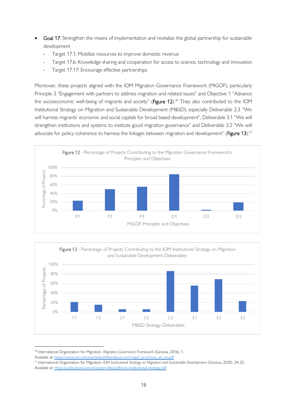- Goal 17: Strengthen the means of implementation and revitalize the global partnership for sustainable development
	- Target 17.1: Mobilize resources to improve domestic revenue
	- Target 17.6: Knowledge sharing and cooperation for access to science, technology and innovation
	- Target 17.17: Encourage effective partnerships

Moreover, these projects aligned with the IOM Migration Governance Framework (MiGOF), particularly Principle 3 "Engagement with partners to address migration and related issues" and Objective 1 "Advance the socioeconomic well-being of migrants and society" (Figure 12).<sup>30</sup> They also contributed to the IOM Institutional Strategy on Migration and Sustainable Development (M&SD), especially Deliverable 2.3 "We will harness migrants' economic and social capitals for broad based development", Deliverable 3.1 "We will strengthen institutions and systems to institute good migration governance" and Deliverable 3.2 "We will advocate for policy coherence to harness the linkages between migration and development" (Figure 13). $31$ 



<span id="page-18-0"></span>

<sup>30</sup> International Organization for Migration. *Migration Governance Framework* (Geneva, 2016), 1.

<sup>31</sup> International Organization for Migration. *IOM Institutional Strategy on Migration and Sustainable Development* (Geneva, 2020), 24-25. Available at:<https://publications.iom.int/system/files/pdf/iom-institutional-strategy.pdf>

Available at: [https://www.iom.int/sites/default/files/about-iom/migof\\_brochure\\_a4\\_en.pdf](https://www.iom.int/sites/default/files/about-iom/migof_brochure_a4_en.pdf)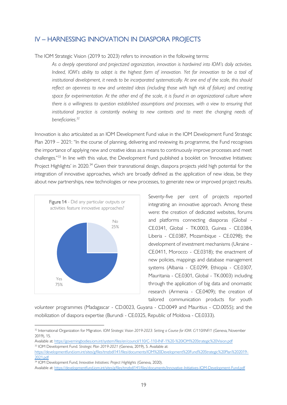## IV – HARNESSING INNOVATION IN DIASPORA PROJECTS

#### The IOM Strategic Vision (2019 to 2023) refers to innovation in the following terms:

*As a deeply operational and projectized organization, innovation is hardwired into IOM's daily activities. Indeed, IOM's ability to adapt is the highest form of innovation. Yet for innovation to be a tool of institutional development, it needs to be incorporated systematically. At one end of the scale, this should reflect an openness to new and untested ideas (including those with high risk of failure) and creating space for experimentation. At the other end of the scale, it is found in an organizational culture where there is a willingness to question established assumptions and processes, with a view to ensuring that institutional practice is constantly evolving to new contexts and to meet the changing needs of beneficiaries.32*

Innovation is also articulated as an IOM Development Fund value in the IOM Development Fund Strategic Plan 2019 – 2021: "In the course of planning, delivering and reviewing its programme, the Fund recognises the importance of applying new and creative ideas as a means to continuously improve processes and meet challenges."<sup>33</sup> In line with this value, the Development Fund published a booklet on 'Innovative Initiatives: Project Highlights' in 2020.<sup>34</sup> Given their transnational design, diaspora projects yield high potential for the integration of innovative approaches, which are broadly defined as the application of new ideas, be they about new partnerships, new technologies or new processes, to generate new or improved project results.



Seventy-five per cent of projects reported integrating an innovative approach. Among these were: the creation of dedicated websites, forums and platforms connecting diasporas (Global - CE.0341, Global - TK.0003, Guinea - CE.0384, Liberia - CE.0387, Mozambique - CE.0298); the development of investment mechanisms (Ukraine - CE.0411, Morocco - CE.0318); the enactment of new policies, mappings and database management systems (Albania - CE.0299, Ethiopia - CE.0307, Mauritania - CE.0301, Global - TK.0003) including through the application of big data and onomastic research (Armenia - CE.0409); the creation of tailored communication products for youth

volunteer programmes (Madagascar - CD.0023, Guyana - CD.0049 and Mauritius - CD.0055); and the mobilization of diaspora expertise (Burundi - CE.0325, Republic of Moldova - CE.0333).

Available at:<https://governingbodies.iom.int/system/files/en/council/110/C-110-INF-1%20-%20IOM%20Strategic%20Vision.pdf>

<sup>&</sup>lt;sup>32</sup> International Organization for Migration. *IOM Strategic Vision 2019-2023: Setting a Course for IOM. C/110/INF/1* (Geneva, November 2019), 15.

<sup>33</sup> IOM Development Fund. *Strategic Plan 2019-2021* (Geneva, 2019), 5. Available at:

[https://developmentfund.iom.int/sites/g/files/tmzbdl141/files/documents/IOM%20Development%20Fund%20Strategic%20Plan%202019-](https://developmentfund.iom.int/sites/g/files/tmzbdl141/files/documents/IOM%20Development%20Fund%20Strategic%20Plan%202019-2021.pdf) [2021.pdf](https://developmentfund.iom.int/sites/g/files/tmzbdl141/files/documents/IOM%20Development%20Fund%20Strategic%20Plan%202019-2021.pdf)

<sup>34</sup> IOM Development Fund, *Innovative Initiatives: Project Highlights* (Geneva, 2020).

Available at:<https://developmentfund.iom.int/sites/g/files/tmzbdl141/files/documents/Innovative-Initiatives-IOM-Development-Fund.pdf>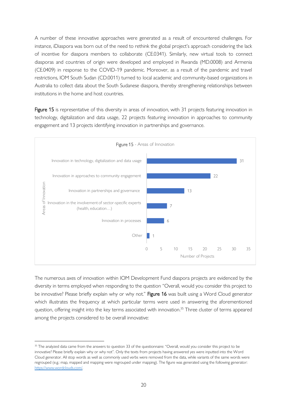A number of these innovative approaches were generated as a result of encountered challenges. For instance, iDiaspora was born out of the need to rethink the global project's approach considering the lack of incentive for diaspora members to collaborate (CE.0341). Similarly, new virtual tools to connect diasporas and countries of origin were developed and employed in Rwanda (MD.0008) and Armenia (CE.0409) in response to the COVID-19 pandemic. Moreover, as a result of the pandemic and travel restrictions, IOM South Sudan (CD.0011) turned to local academic and community-based organizations in Australia to collect data about the South Sudanese diaspora, thereby strengthening relationships between institutions in the home and host countries.

Figure 15 is representative of this diversity in areas of innovation, with 31 projects featuring innovation in technology, digitalization and data usage, 22 projects featuring innovation in approaches to community engagement and 13 projects identifying innovation in partnerships and governance.



The numerous axes of innovation within IOM Development Fund diaspora projects are evidenced by the diversity in terms employed when responding to the question "Overall, would you consider this project to be innovative? Please briefly explain why or why not." Figure 16 was built using a Word Cloud generator which illustrates the frequency at which particular terms were used in answering the aforementioned question, offering insight into the key terms associated with innovation.<sup>35</sup> Three cluster of terms appeared among the projects considered to be overall innovative:

<sup>&</sup>lt;sup>35</sup> The analyzed data came from the answers to question 33 of the questionnaire: "Overall, would you consider this project to be innovative? Please briefly explain why or why not". Only the texts from projects having answered yes were inputted into the Word Cloud generator. All stop words as well as commonly used verbs were removed from the data, while variants of the same words were regrouped (e.g.: map, mapped and mapping were regrouped under mapping). The figure was generated using the following generator: [https://www.wordclouds.com/.](https://www.wordclouds.com/)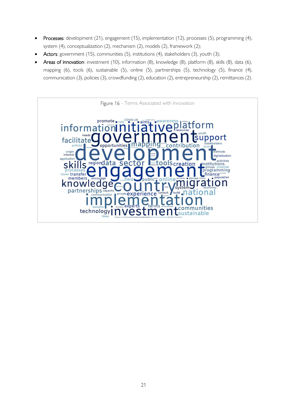- Processes: development (21), engagement (15), implementation (12), processes (5), programming (4), system (4), conceptualization (2), mechanism (2), models (2), framework (2);
- Actors: government (15), communities (5), institutions (4), stakeholders (3), youth (3);
- Areas of innovation: investment (10), information (8), knowledge (8), platform (8), skills (8), data (6), mapping (6), tools (6), sustainable (5), online (5), partnerships (5), technology (5), finance (4), communication (3), policies (3), crowdfunding (2), education (2), entrepreneurship (2), remittances (2).

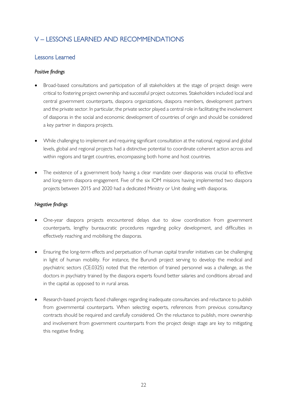## <span id="page-22-0"></span>V – LESSONS LEARNED AND RECOMMENDATIONS

## <span id="page-22-1"></span>Lessons Learned

### *Positive findings*

- Broad-based consultations and participation of all stakeholders at the stage of project design were critical to fostering project ownership and successful project outcomes. Stakeholders included local and central government counterparts, diaspora organizations, diaspora members, development partners and the private sector. In particular, the private sector played a central role in facilitating the involvement of diasporas in the social and economic development of countries of origin and should be considered a key partner in diaspora projects.
- While challenging to implement and requiring significant consultation at the national, regional and global levels, global and regional projects had a distinctive potential to coordinate coherent action across and within regions and target countries, encompassing both home and host countries.
- The existence of a government body having a clear mandate over diasporas was crucial to effective and long-term diaspora engagement. Five of the six IOM missions having implemented two diaspora projects between 2015 and 2020 had a dedicated Ministry or Unit dealing with diasporas.

### *Negative findings*

- One-year diaspora projects encountered delays due to slow coordination from government counterparts, lengthy bureaucratic procedures regarding policy development, and difficulties in effectively reaching and mobilising the diasporas.
- Ensuring the long-term effects and perpetuation of human capital transfer initiatives can be challenging in light of human mobility. For instance, the Burundi project serving to develop the medical and psychiatric sectors (CE.0325) noted that the retention of trained personnel was a challenge, as the doctors in psychiatry trained by the diaspora experts found better salaries and conditions abroad and in the capital as opposed to in rural areas.
- Research-based projects faced challenges regarding inadequate consultancies and reluctance to publish from governmental counterparts. When selecting experts, references from previous consultancy contracts should be required and carefully considered. On the reluctance to publish, more ownership and involvement from government counterparts from the project design stage are key to mitigating this negative finding.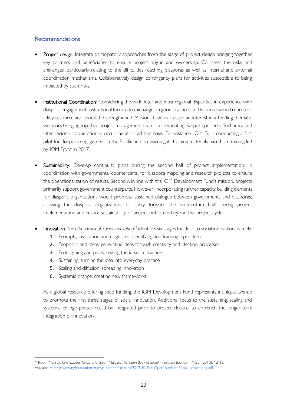## <span id="page-23-0"></span>Recommendations

- Project design: Integrate participatory approaches from the stage of project design bringing together key partners and beneficiaries to ensure project buy-in and ownership. Co-assess the risks and challenges, particularly relating to the difficulties reaching diasporas as well as internal and external coordination mechanisms. Collaboratively design contingency plans for activities susceptible to being impacted by such risks.
- Institutional Coordination: Considering the wide inter and intra-regional disparities in experience with diaspora engagement, institutional forums to exchange on good practices and lessons learned represent a key resource and should be strengthened. Missions have expressed an interest in attending thematic webinars bringing together project management teams implementing diaspora projects. Such intra and inter-regional cooperation is occurring at an ad hoc basis. For instance, IOM Fiji is conducting a first pilot for diaspora engagement in the Pacific and is designing its training materials based on training led by IOM Egypt in 2017.
- Sustainability: Develop continuity plans during the second half of project implementation, in coordination with governmental counterparts, for diaspora mapping and research projects to ensure the operationalization of results. Secondly, in line with the IOM Development Fund's mission, projects primarily support government counterparts. However, incorporating further capacity building elements for diaspora organizations would promote sustained dialogue between governments and diasporas, allowing the diaspora organizations to carry forward the momentum built during project implementation and ensure sustainability of project outcomes beyond the project cycle.
- Innovation: *The Open Book of Social Innovation*<sup>36</sup> identifies six stages that lead to social innovation, namely:
	- 1. Prompts, inspiration and diagnoses: identifying and framing a problem
	- 2. Proposals and ideas: generating ideas through creativity and ideation processes
	- 3. Prototyping and pilots: testing the ideas in practice
	- 4. Sustaining: turning the idea into everyday practice
	- 5. Scaling and diffusion: spreading innovation
	- 6. Systemic change: creating new frameworks

As a global resource offering seed funding, the IOM Development Fund represents a unique avenue to promote the first three stages of social innovation. Additional focus to the sustaining, scaling and systemic change phases could be integrated prior to project closure, to entrench the longer-term integration of innovation.

<sup>36</sup> Robin Murray, Julie Caulier-Grice and Geoff Mulgan. *The Open Book of Social Innovation* (London, March 2010), 12-13. Available at:<https://youngfoundation.org/wp-content/uploads/2012/10/The-Open-Book-of-Social-Innovationg.pdf>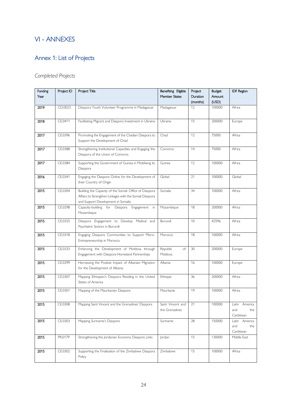## <span id="page-24-0"></span>VI - ANNEXES

## <span id="page-24-1"></span>Annex 1: List of Projects

## *Completed Projects*

| Funding<br>Year | Project ID | Project Title                                                                                                                                           | Benefiting Eligible<br><b>Member States</b> | Project<br>Duration<br>(months) | <b>Budget</b><br>Amount<br>(USD) | <b>IDF Region</b>                           |
|-----------------|------------|---------------------------------------------------------------------------------------------------------------------------------------------------------|---------------------------------------------|---------------------------------|----------------------------------|---------------------------------------------|
| 2019            | CD.0023    | Diaspora Youth Volunteer Programme in Madagascar                                                                                                        | Madagascar                                  | 12                              | 100000                           | Africa                                      |
| 2018            | CE.0411    | Facilitating Migrant and Diaspora Investment in Ukraine                                                                                                 | Ukraine                                     | 15                              | 200000                           | Europe                                      |
| 2017            | CE.0396    | Promoting the Engagement of the Chadian Diaspora to<br>Support the Development of Chad                                                                  | Chad                                        | 12                              | 75000                            | Africa                                      |
| 2017            | CE.0388    | Strengthening Institutional Capacities and Engaging the<br>Diaspora of the Union of Comoros                                                             | Comoros                                     | 14                              | 75000                            | Africa                                      |
| 2017            | CE.0384    | Supporting the Government of Guinea in Mobilising its<br>Diaspora                                                                                       | Guinea                                      | 12                              | 100000                           | Africa                                      |
| 2016            | CE.0341    | Engaging the Diaspora Online for the Development of<br>their Country of Origin                                                                          | Global                                      | 21                              | 100000                           | Global                                      |
| 2015            | CE.0304    | Building the Capacity of the Somali Office of Diaspora<br>Affairs to Strengthen Linkages with the Somali Diaspora<br>and Support Development in Somalia | Somalia                                     | 34                              | 100000                           | Africa                                      |
| 2015            | CE.0298    | Capacity-building for Diaspora Engagement in<br>Mozambique                                                                                              | Mozambique                                  | 18                              | 200000                           | Africa                                      |
| 2015            | CE.0325    | Diaspora Engagement to Develop Medical and<br>Psychiatric Sectors in Burundi                                                                            | Burundi                                     | 10                              | 42596                            | Africa                                      |
| 2015            | CE.0318    | Engaging Diaspora Communities to Support Micro-<br>Entrepreneurship in Morocco                                                                          | Morocco                                     | 18                              | 100000                           | Africa                                      |
| 2015            | CE.0333    | Enhancing the Development of Moldova through<br>Engagement with Diaspora-Homeland Partnerships                                                          | Republic<br>of<br>Moldova                   | 30                              | 200000                           | Europe                                      |
| 2015            | CE.0299    | Harnessing the Positive Impact of Albanian Migration<br>for the Development of Albania                                                                  | Albania                                     | 16                              | 100000                           | Europe                                      |
| 2015            | CE.0307    | Mapping Ethiopian's Diaspora Residing in the United<br>States of America                                                                                | Ethiopia                                    | 36                              | 200000                           | Africa                                      |
| 2015            | CE.0301    | Mapping of the Mauritanian Diaspora                                                                                                                     | Mauritania                                  | 19                              | 100000                           | Africa                                      |
| 2015            | CE.0308    | Mapping Saint Vincent and the Grenadines' Diaspora                                                                                                      | Saint Vincent and<br>the Grenadines         | 21                              | 100000                           | Latin America<br>and<br>the<br>Caribbean    |
| 2015            | CE.0303    | Mapping Suriname's Diaspora                                                                                                                             | Suriname                                    | 28                              | 150000                           | America<br>Latin<br>and<br>the<br>Caribbean |
| 2015            | PR.0179    | Strengthening the Jordanian Economy Diaspora Links                                                                                                      | Jordan                                      | 15                              | 130000                           | Middle East                                 |
| 2015            | CE.0302    | Supporting the Finalisation of the Zimbabwe Diaspora<br>Policy                                                                                          | Zimbabwe                                    | 15                              | 100000                           | Africa                                      |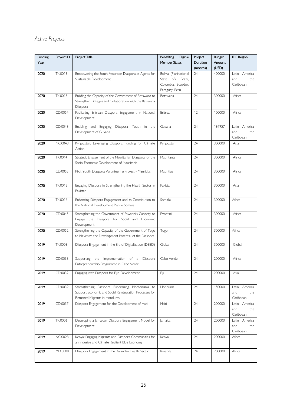## *Active Projects*

| Funding<br>Year | Project ID     | Project Title                                                                                                     | Benefiting<br>Eligible<br><b>Member States</b> | Project<br>Duration | <b>Budget</b><br>Amount | <b>IDF Region</b>           |
|-----------------|----------------|-------------------------------------------------------------------------------------------------------------------|------------------------------------------------|---------------------|-------------------------|-----------------------------|
|                 |                |                                                                                                                   |                                                | (months)            | (USD)                   |                             |
| 2020            | TK.0013        | Empowering the South American Diaspora as Agents for<br>Sustainable Development                                   | Bolivia (Plurinational<br>State of), Brazil,   | 24                  | 400000                  | Latin America<br>and<br>the |
|                 |                |                                                                                                                   | Colombia, Ecuador,                             |                     |                         | Caribbean                   |
|                 |                |                                                                                                                   | Paraguay, Peru                                 |                     |                         |                             |
| 2020            | TK.0015        | Building the Capacity of the Government of Botswana to<br>Strengthen Linkages and Collaboration with the Batswana | Botswana                                       | 24                  | 300000                  | Africa                      |
|                 |                | Diaspora                                                                                                          |                                                |                     |                         |                             |
| 2020            | CD.0054        | Facilitating Eritrean Diaspora Engagement in National                                                             | Eritrea                                        | 12                  | 100000                  | Africa                      |
|                 |                | Development                                                                                                       |                                                |                     |                         |                             |
| 2020            | CD.0049        | Enabling and Engaging<br>Diaspora Youth in the                                                                    | Guyana                                         | 24                  | 184957                  | Latin America               |
|                 |                | Development of Guyana                                                                                             |                                                |                     |                         | and<br>the<br>Caribbean     |
| 2020            | <b>NC.0048</b> | Kyrgyzstan: Leveraging Diaspora Funding for Climate                                                               | Kyrgyzstan                                     | 24                  | 300000                  | Asia                        |
|                 |                | Action                                                                                                            |                                                |                     |                         |                             |
| 2020            | TK.0014        | Strategic Engagement of the Mauritanian Diaspora for the                                                          | Mauritania                                     | 24                  | 300000                  | Africa                      |
|                 |                | Socio-Economic Development of Mauritania                                                                          |                                                |                     |                         |                             |
| 2020            | CD.0055        | Pilot Youth Diaspora Volunteering Project - Mauritius                                                             | Mauritius                                      | 24                  | 300000                  | Africa                      |
|                 |                |                                                                                                                   |                                                |                     |                         |                             |
| 2020            | TK.0012        | Engaging Diaspora in Strengthening the Health Sector in                                                           | Pakistan                                       | 24                  | 300000                  | Asia                        |
|                 |                | Pakistan                                                                                                          |                                                |                     |                         |                             |
| 2020            | TK.0016        | Enhancing Diaspora Engagement and its Contribution to                                                             | Somalia                                        | 24                  | 300000                  | Africa                      |
|                 |                | the National Development Plan in Somalia                                                                          |                                                |                     |                         |                             |
| 2020            | CD.0045        | Strengthening the Government of Eswatini's Capacity to<br>Engage the Diaspora for Social and Economic             | Eswatini                                       | 24                  | 300000                  | Africa                      |
|                 |                | Development                                                                                                       |                                                |                     |                         |                             |
| 2020            | CD.0052        | Strengthening the Capacity of the Government of Togo                                                              | Togo                                           | 24                  | 300000                  | Africa                      |
|                 |                | to Maximize the Development Potential of the Diaspora                                                             |                                                |                     |                         |                             |
| 2019            | TK.0003        | Diaspora Engagement in the Era of Digitalization (DEED)                                                           | Global                                         | 24                  | 300000                  | Global                      |
|                 |                |                                                                                                                   |                                                |                     |                         |                             |
| 2019            | CD.0036        | Supporting the Implementation of a<br>Diaspora                                                                    | Cabo Verde                                     | 24                  | 200000                  | Africa                      |
|                 |                | Entrepreneurship Programme in Cabo Verde                                                                          |                                                |                     |                         |                             |
| 2019            | CD.0032        | Engaging with Diaspora for Fiji's Development                                                                     | Fiji                                           | 24                  | 200000                  | Asia                        |
|                 |                |                                                                                                                   |                                                |                     |                         |                             |
| 2019            | CD.0039        | Strengthening Diaspora Fundraising Mechanisms to<br>Support Economic and Social Reintegration Processes for       | Honduras                                       | 24                  | 150000                  | Latin America<br>and<br>the |
|                 |                | Returned Migrants in Honduras                                                                                     |                                                |                     |                         | Caribbean                   |
| 2019            | CD.0037        | Diaspora Engagement for the Development of Haiti                                                                  | Haiti                                          | 24                  | 200000                  | Latin America               |
|                 |                |                                                                                                                   |                                                |                     |                         | and<br>the<br>Caribbean     |
| 2019            | TK.0006        | Developing a Jamaican Diaspora Engagement Model for                                                               | <i>amaica</i>                                  | 24                  | 200000                  | Latin America               |
|                 |                | Development                                                                                                       |                                                |                     |                         | and<br>the                  |
| 2019            | <b>NC.0028</b> | Kenya: Engaging Migrants and Diaspora Communities for                                                             | Kenya                                          | 24                  | 200000                  | Caribbean<br>Africa         |
|                 |                | an Inclusive and Climate Resilient Blue Economy                                                                   |                                                |                     |                         |                             |
| 2019            | MD.0008        | Diaspora Engagement in the Rwandan Health Sector                                                                  | Rwanda                                         | 24                  | 200000                  | Africa                      |
|                 |                |                                                                                                                   |                                                |                     |                         |                             |
|                 |                |                                                                                                                   |                                                |                     |                         |                             |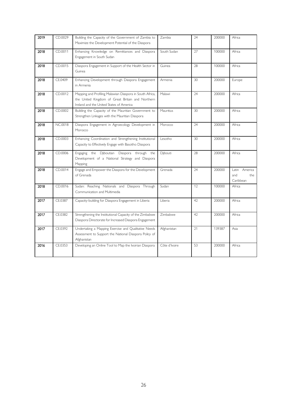| 2019 | CD.0029        | Building the Capacity of the Government of Zambia to<br>Maximize the Development Potential of the Diaspora                                               | Zambia        | 24 | 200000 | Africa                                   |
|------|----------------|----------------------------------------------------------------------------------------------------------------------------------------------------------|---------------|----|--------|------------------------------------------|
| 2018 | CD.0011        | Enhancing Knowledge on Remittances and Diaspora<br>Engagement in South Sudan                                                                             | South Sudan   | 27 | 100000 | Africa                                   |
| 2018 | CD.0015        | Diaspora Engagement in Support of the Health Sector in<br>Guinea                                                                                         | Guinea        | 28 | 100000 | Africa                                   |
| 2018 | CE.0409        | Enhancing Development through Diaspora Engagement<br>in Armenia                                                                                          | Armenia       | 30 | 200000 | Europe                                   |
| 2018 | CD.0012        | Mapping and Profiling Malawian Diaspora in South Africa,<br>the United Kingdom of Great Britain and Northern<br>Ireland and the United States of America | Malawi        | 24 | 200000 | Africa                                   |
| 2018 | CD.0002        | Building the Capacity of the Mauritian Government to<br>Strengthen Linkages with the Mauritian Diaspora                                                  | Mauritius     | 30 | 200000 | Africa                                   |
| 2018 | <b>NC.0018</b> | Diaspora Engagement in Agroecology Development in<br>Morocco                                                                                             | Morocco       | 24 | 200000 | Africa                                   |
| 2018 | CD.0003        | Enhancing Coordination and Strengthening Institutional<br>Capacity to Effectively Engage with Basotho Diaspora                                           | Lesotho       | 30 | 200000 | Africa                                   |
| 2018 | CD.0006        | the Djiboutian Diaspora through the<br>Engaging<br>Development of a National Strategy and Diaspora<br>Mapping                                            | Djibouti      | 28 | 200000 | Africa                                   |
| 2018 | CD.0014        | Engage and Empower the Diaspora for the Development<br>of Grenada                                                                                        | Grenada       | 24 | 200000 | Latin America<br>and<br>the<br>Caribbean |
| 2018 | CD.0016        | Sudan: Reaching Nationals and Diaspora Through<br>Communication and Multimedia                                                                           | Sudan         | 12 | 100000 | Africa                                   |
| 2017 | CE.0387        | Capacity-building for Diaspora Engagement in Liberia                                                                                                     | Liberia       | 42 | 200000 | Africa                                   |
| 2017 | CE.0382        | Strengthening the Institutional Capacity of the Zimbabwe<br>Diaspora Directorate for Increased Diaspora Engagement                                       | Zimbabwe      | 42 | 200000 | Africa                                   |
| 2017 | CE.0392        | Undertaking a Mapping Exercise and Qualitative Needs<br>Assessment to Support the National Diaspora Policy of<br>Afghanistan                             | Afghanistan   | 21 | 139387 | Asia                                     |
| 2016 | CE.0353        | Developing an Online Tool to Map the Ivoirian Diaspora                                                                                                   | Côte d'Ivoire | 53 | 200000 | Africa                                   |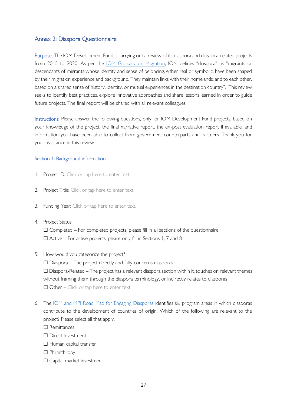## <span id="page-27-0"></span>Annex 2: Diaspora Questionnaire

Purpose: The IOM Development Fund is carrying out a review of its diaspora and diaspora-related projects from 2015 to 2020. As per the [IOM Glossary on Migration](https://publications.iom.int/system/files/pdf/iml_34_glossary.pdf), IOM defines "diaspora" as "migrants or descendants of migrants whose identity and sense of belonging, either real or symbolic, have been shaped by their migration experience and background. They maintain links with their homelands, and to each other, based on a shared sense of history, identity, or mutual experiences in the destination country". This review seeks to identify best practices, explore innovative approaches and share lessons learned in order to guide future projects. The final report will be shared with all relevant colleagues.

Instructions: Please answer the following questions, only for IOM Development Fund projects, based on your knowledge of the project, the final narrative report, the ex-post evaluation report if available, and information you have been able to collect from government counterparts and partners. Thank you for your assistance in this review.

#### Section 1: Background information

- 1. Project ID: Click or tap here to enter text.
- 2. Project Title: Click or tap here to enter text.
- 3. Funding Year: Click or tap here to enter text.
- 4. Project Status:

 $\Box$  Completed – For completed projects, please fill in all sections of the questionnaire  $\Box$  Active – For active projects, please only fill in Sections 1, 7 and 8

5. How would you categorize the project?

 $\Box$  Diaspora – The project directly and fully concerns diasporas ☐ Diaspora-Related – The project has a relevant diaspora section within it, touches on relevant themes without framing them through the diaspora terminology, or indirectly relates to diasporas  $\Box$  Other – Click or tap here to enter text.

- 6. The [IOM and MPI Road Map for Engaging Diasporas](https://publications.iom.int/system/files/pdf/diaspora_handbook_en_for_web_28may2013.pdf) identifies six program areas in which diasporas contribute to the development of countries of origin. Which of the following are relevant to the project? Please select all that apply.
	- ☐ Remittances
	- ☐ Direct Investment
	- □ Human capital transfer
	- ☐ Philanthropy
	- ☐ Capital market investment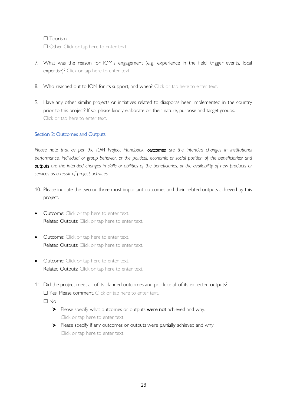### ☐ Tourism

□ Other Click or tap here to enter text.

- 7. What was the reason for IOM's engagement (e.g.: experience in the field, trigger events, local expertise)? Click or tap here to enter text.
- 8. Who reached out to IOM for its support, and when? Click or tap here to enter text.
- 9. Have any other similar projects or initiatives related to diasporas been implemented in the country prior to this project? If so, please kindly elaborate on their nature, purpose and target groups. Click or tap here to enter text.

#### Section 2: Outcomes and Outputs

*Please note that as per the IOM Project Handbook, outcomes are the intended changes in institutional performance, individual or group behavior, or the political, economic or social position of the beneficiaries; and outputs are the intended changes in skills or abilities of the beneficiaries, or the availability of new products or services as a result of project activities.*

- 10. Please indicate the two or three most important outcomes and their related outputs achieved by this project.
- Outcome: Click or tap here to enter text. Related Outputs: Click or tap here to enter text.
- **Outcome:** Click or tap here to enter text. Related Outputs: Click or tap here to enter text.
- Outcome: Click or tap here to enter text. Related Outputs: Click or tap here to enter text.
- 11. Did the project meet all of its planned outcomes and produce all of its expected outputs? □ Yes. Please comment. Click or tap here to enter text. ☐ No
	- $\triangleright$  Please specify what outcomes or outputs were not achieved and why. Click or tap here to enter text.
	- Please specify if any outcomes or outputs were partially achieved and why. Click or tap here to enter text.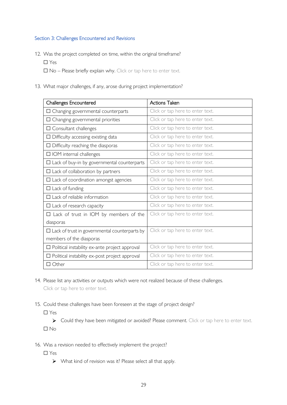#### Section 3: Challenges Encountered and Revisions

12. Was the project completed on time, within the original timeframe?

☐ Yes

□ No – Please briefly explain why. Click or tap here to enter text.

13. What major challenges, if any, arose during project implementation?

| Challenges Encountered                                | <b>Actions Taken</b>             |  |  |
|-------------------------------------------------------|----------------------------------|--|--|
| $\Box$ Changing governmental counterparts             | Click or tap here to enter text. |  |  |
| $\Box$ Changing governmental priorities               | Click or tap here to enter text. |  |  |
| $\Box$ Consultant challenges                          | Click or tap here to enter text. |  |  |
| $\Box$ Difficulty accessing existing data             | Click or tap here to enter text. |  |  |
| $\Box$ Difficulty reaching the diasporas              | Click or tap here to enter text. |  |  |
| $\Box$ IOM internal challenges                        | Click or tap here to enter text. |  |  |
| $\Box$ Lack of buy-in by governmental counterparts    | Click or tap here to enter text. |  |  |
| $\Box$ Lack of collaboration by partners              | Click or tap here to enter text. |  |  |
| $\Box$ Lack of coordination amongst agencies          | Click or tap here to enter text. |  |  |
| $\Box$ Lack of funding                                | Click or tap here to enter text. |  |  |
| $\Box$ Lack of reliable information                   | Click or tap here to enter text. |  |  |
| $\Box$ Lack of research capacity                      | Click or tap here to enter text. |  |  |
| $\Box$ Lack of trust in IOM by members of the         | Click or tap here to enter text. |  |  |
| diasporas                                             |                                  |  |  |
| $\Box$ Lack of trust in governmental counterparts by  | Click or tap here to enter text. |  |  |
| members of the diasporas                              |                                  |  |  |
| $\Box$ Political instability ex-ante project approval | Click or tap here to enter text. |  |  |
| $\Box$ Political instability ex-post project approval | Click or tap here to enter text. |  |  |
| $\Box$ Other                                          | Click or tap here to enter text. |  |  |

- 14. Please list any activities or outputs which were not realized because of these challenges. Click or tap here to enter text.
- 15. Could these challenges have been foreseen at the stage of project design?

☐ Yes

Could they have been mitigated or avoided? Please comment. Click or tap here to enter text.

☐ No

16. Was a revision needed to effectively implement the project?

☐ Yes

What kind of revision was it? Please select all that apply.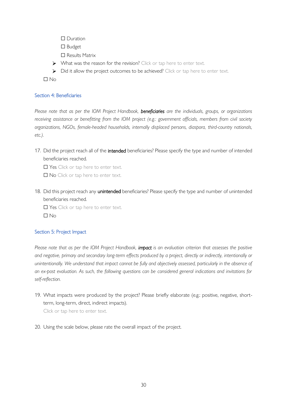- □ Duration
- □ Budget
- ☐ Results Matrix
- $\triangleright$  What was the reason for the revision? Click or tap here to enter text.
- Did it allow the project outcomes to be achieved? Click or tap here to enter text.

☐ No

#### Section 4: Beneficiaries

*Please note that as per the IOM Project Handbook, beneficiaries are the individuals, groups, or organizations receiving assistance or benefitting from the IOM project (e.g.: government officials, members from civil society organizations, NGOs, female-headed households, internally displaced persons, diaspora, third-country nationals, etc.).*

17. Did the project reach all of the intended beneficiaries? Please specify the type and number of intended beneficiaries reached.

□ Yes Click or tap here to enter text.

□ No Click or tap here to enter text.

18. Did this project reach any unintended beneficiaries? Please specify the type and number of unintended beneficiaries reached.

□ Yes Click or tap here to enter text. ☐ No

## Section 5: Project Impact

*Please note that as per the IOM Project Handbook, impact is an evaluation criterion that assesses the positive*  and negative, primary and secondary long-term effects produced by a project, directly or indirectly, intentionally or *unintentionally. We understand that impact cannot be fully and objectively assessed, particularly in the absence of an ex-post evaluation. As such, the following questions can be considered general indications and invitations for self-reflection.* 

- 19. What impacts were produced by the project? Please briefly elaborate (e.g.: positive, negative, shortterm, long-term, direct, indirect impacts). Click or tap here to enter text.
- 20. Using the scale below, please rate the overall impact of the project.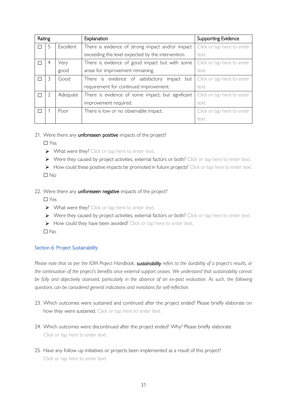| Rating |   |           | Explanation                                       | <b>Supporting Evidence</b> |
|--------|---|-----------|---------------------------------------------------|----------------------------|
|        | 5 | Excellent | There is evidence of strong impact and/or impact  | Click or tap here to enter |
|        |   |           | exceeding the level expected by the intervention. | text.                      |
|        | 4 | Very      | There is evidence of good impact but with some    | Click or tap here to enter |
|        |   | good      | areas for improvement remaining.                  | text.                      |
|        |   | Good      | There is evidence of satisfactory impact but      | Click or tap here to enter |
|        |   |           | requirement for continued improvement.            | text.                      |
|        |   | Adequate  | There is evidence of some impact, but significant | Click or tap here to enter |
|        |   |           | improvement required.                             | text.                      |
|        |   | Poor      | There is low or no observable impact.             | Click or tap here to enter |
|        |   |           |                                                   | text.                      |

#### 21. Were there any unforeseen positive impacts of the project?

☐ Yes

- $\triangleright$  What were they? Click or tap here to enter text.
- Were they caused by project activities, external factors or both? Click or tap here to enter text.
- How could these positive impacts be promoted in future projects? Click or tap here to enter text.

☐ No

#### 22. Were there any unforeseen negative impacts of the project?

☐ Yes

- $\triangleright$  What were they? Click or tap here to enter text.
- ▶ Were they caused by project activities, external factors or both? Click or tap here to enter text.
- How could they have been avoided? Click or tap here to enter text.

☐ No

#### Section 6: Project Sustainability

*Please note that as per the IOM Project Handbook, sustainability refers to the durability of a project's results, or*  the continuation of the project's benefits once external support ceases. We understand that sustainability cannot be fully and objectively assessed, particularly in the absence of an ex-post evaluation. As such, the following *questions can be considered general indications and invitations for self-reflection.*

- 23. Which outcomes were sustained and continued after the project ended? Please briefly elaborate on how they were sustained. Click or tap here to enter text.
- 24. Which outcomes were discontinued after the project ended? Why? Please briefly elaborate. Click or tap here to enter text.
- 25. Have any follow up initiatives or projects been implemented as a result of this project? Click or tap here to enter text.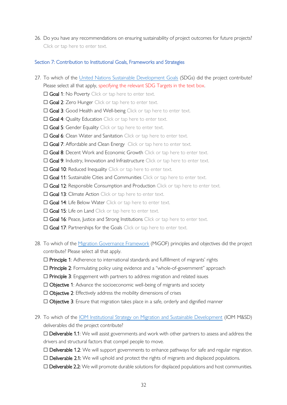26. Do you have any recommendations on ensuring sustainability of project outcomes for future projects? Click or tap here to enter text.

#### Section 7: Contribution to Institutional Goals, Frameworks and Strategies

- 27. To which of the United Nations Sustainable Development Goals (SDGs) did the project contribute? Please select all that apply, specifying the relevant SDG Targets in the text box.
	- $\Box$  Goal 1: No Poverty Click or tap here to enter text.
	- □ Goal 2: Zero Hunger Click or tap here to enter text.
	- □ Goal 3: Good Health and Well-being Click or tap here to enter text.
	- □ Goal 4: Quality Education Click or tap here to enter text.
	- □ Goal 5: Gender Equality Click or tap here to enter text.
	- □ Goal 6: Clean Water and Sanitation Click or tap here to enter text.
	- □ Goal 7: Affordable and Clean Energy Click or tap here to enter text.
	- □ Goal 8: Decent Work and Economic Growth Click or tap here to enter text.
	- □ Goal 9: Industry, Innovation and Infrastructure Click or tap here to enter text.
	- $\Box$  Goal 10: Reduced Inequality Click or tap here to enter text.
	- □ Goal 11: Sustainable Cities and Communities Click or tap here to enter text.
	- □ Goal 12: Responsible Consumption and Production Click or tap here to enter text.
	- □ Goal 13: Climate Action Click or tap here to enter text.
	- □ Goal 14: Life Below Water Click or tap here to enter text.
	- □ Goal 15: Life on Land Click or tap here to enter text.
	- $\Box$  Goal 16: Peace, Justice and Strong Institutions Click or tap here to enter text.
	- $\Box$  Goal 17: Partnerships for the Goals Click or tap here to enter text.
- 28. To which of the Migration Governance Framework (MiGOF) principles and objectives did the project contribute? Please select all that apply.
	- $\Box$  Principle 1: Adherence to international standards and fulfillment of migrants' rights
	- ☐ Principle 2: Formulating policy using evidence and a "whole-of-government" approach
	- $\Box$  Principle 3: Engagement with partners to address migration and related issues
	- □ Objective 1: Advance the socioeconomic well-being of migrants and society
	- $\Box$  Objective 2: Effectively address the mobility dimensions of crises
	- $\Box$  Objective 3: Ensure that migration takes place in a safe, orderly and dignified manner
- 29. To which of the IOM Institutional Strategy on Migration and Sustainable Development (IOM M&SD) deliverables did the project contribute?

□ **Deliverable 1.1**: We will assist governments and work with other partners to assess and address the drivers and structural factors that compel people to move.

- □ **Deliverable 1.2**: We will support governments to enhance pathways for safe and regular migration.
- □ **Deliverable 2.1:** We will uphold and protect the rights of migrants and displaced populations.
- □ **Deliverable 2.2:** We will promote durable solutions for displaced populations and host communities.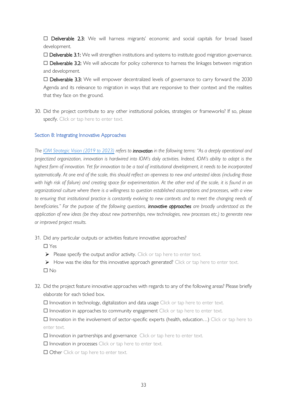☐ Deliverable 2.3: We will harness migrants' economic and social capitals for broad based development.

 $\Box$  Deliverable 3.1: We will strengthen institutions and systems to institute good migration governance.

 $\Box$  Deliverable 3.2: We will advocate for policy coherence to harness the linkages between migration and development.

☐ Deliverable 3.3: We will empower decentralized levels of governance to carry forward the 2030 Agenda and its relevance to migration in ways that are responsive to their context and the realities that they face on the ground.

30. Did the project contribute to any other institutional policies, strategies or frameworks? If so, please specify. Click or tap here to enter text.

#### Section 8: Integrating Innovative Approaches

*The IOM Strategic Vision (2019 to 2023) refers to innovation in the following terms: "As a deeply operational and projectized organization, innovation is hardwired into IOM's daily activities. Indeed, IOM's ability to adapt is the highest form of innovation. Yet for innovation to be a tool of institutional development, it needs to be incorporated systematically. At one end of the scale, this should reflect an openness to new and untested ideas (including those*  with high risk of failure) and creating space for experimentation. At the other end of the scale, it is found in an *organizational culture where there is a willingness to question established assumptions and processes, with a view to ensuring that institutional practice is constantly evolving to new contexts and to meet the changing needs of beneficiaries." For the purpose of the following questions, innovative approaches are broadly understood as the application of new ideas (be they about new partnerships, new technologies, new processes etc.) to generate new or improved project results.* 

31. Did any particular outputs or activities feature innovative approaches?

☐ Yes

- $\triangleright$  Please specify the output and/or activity. Click or tap here to enter text.
- $\triangleright$  How was the idea for this innovative approach generated? Click or tap here to enter text.

☐ No

- 32. Did the project feature innovative approaches with regards to any of the following areas? Please briefly elaborate for each ticked box.
	- ☐ Innovation in technology, digitalization and data usage Click or tap here to enter text.
	- ☐ Innovation in approaches to community engagement Click or tap here to enter text.

☐ Innovation in the involvement of sector-specific experts (health, education…) Click or tap here to enter text.

- □ Innovation in partnerships and governance Click or tap here to enter text.
- □ Innovation in processes Click or tap here to enter text.
- □ Other Click or tap here to enter text.